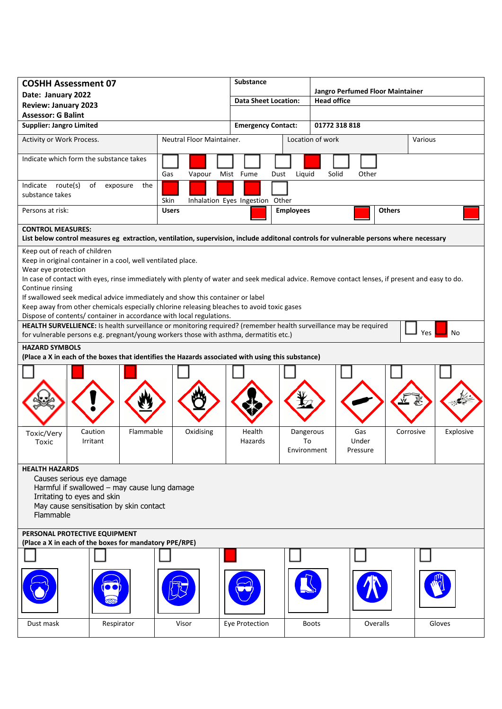| <b>COSHH Assessment 07</b>                                                                                                                                                                                                                                                                                                                                                                                                                                                                                                                                                                                                                                                                                                                                                                                                                                                                                   |                               |              |                  | <b>Substance</b>            |                                 |                                  |                   |           |         |           |
|--------------------------------------------------------------------------------------------------------------------------------------------------------------------------------------------------------------------------------------------------------------------------------------------------------------------------------------------------------------------------------------------------------------------------------------------------------------------------------------------------------------------------------------------------------------------------------------------------------------------------------------------------------------------------------------------------------------------------------------------------------------------------------------------------------------------------------------------------------------------------------------------------------------|-------------------------------|--------------|------------------|-----------------------------|---------------------------------|----------------------------------|-------------------|-----------|---------|-----------|
| Date: January 2022                                                                                                                                                                                                                                                                                                                                                                                                                                                                                                                                                                                                                                                                                                                                                                                                                                                                                           |                               |              |                  |                             |                                 | Jangro Perfumed Floor Maintainer |                   |           |         |           |
| <b>Review: January 2023</b>                                                                                                                                                                                                                                                                                                                                                                                                                                                                                                                                                                                                                                                                                                                                                                                                                                                                                  |                               |              |                  | <b>Data Sheet Location:</b> |                                 | <b>Head office</b>               |                   |           |         |           |
| <b>Assessor: G Balint</b>                                                                                                                                                                                                                                                                                                                                                                                                                                                                                                                                                                                                                                                                                                                                                                                                                                                                                    |                               |              |                  |                             |                                 |                                  |                   |           |         |           |
| <b>Supplier: Jangro Limited</b>                                                                                                                                                                                                                                                                                                                                                                                                                                                                                                                                                                                                                                                                                                                                                                                                                                                                              |                               |              |                  | <b>Emergency Contact:</b>   |                                 | 01772 318 818                    |                   |           |         |           |
| Activity or Work Process.<br>Neutral Floor Maintainer.                                                                                                                                                                                                                                                                                                                                                                                                                                                                                                                                                                                                                                                                                                                                                                                                                                                       |                               |              |                  |                             |                                 | Location of work                 |                   |           | Various |           |
| Indicate which form the substance takes                                                                                                                                                                                                                                                                                                                                                                                                                                                                                                                                                                                                                                                                                                                                                                                                                                                                      |                               |              |                  |                             |                                 |                                  |                   |           |         |           |
|                                                                                                                                                                                                                                                                                                                                                                                                                                                                                                                                                                                                                                                                                                                                                                                                                                                                                                              |                               | Gas          | Vapour Mist Fume |                             | Dust<br>Liquid                  | Solid                            | Other             |           |         |           |
| Indicate route(s)<br>substance takes                                                                                                                                                                                                                                                                                                                                                                                                                                                                                                                                                                                                                                                                                                                                                                                                                                                                         | the<br>of<br>exposure<br>Skin |              |                  |                             | Inhalation Eyes Ingestion Other |                                  |                   |           |         |           |
| Persons at risk:                                                                                                                                                                                                                                                                                                                                                                                                                                                                                                                                                                                                                                                                                                                                                                                                                                                                                             |                               | <b>Users</b> |                  |                             | <b>Employees</b>                |                                  | <b>Others</b>     |           |         |           |
| <b>CONTROL MEASURES:</b>                                                                                                                                                                                                                                                                                                                                                                                                                                                                                                                                                                                                                                                                                                                                                                                                                                                                                     |                               |              |                  |                             |                                 |                                  |                   |           |         |           |
| List below control measures eg extraction, ventilation, supervision, include additonal controls for vulnerable persons where necessary                                                                                                                                                                                                                                                                                                                                                                                                                                                                                                                                                                                                                                                                                                                                                                       |                               |              |                  |                             |                                 |                                  |                   |           |         |           |
| Keep out of reach of children<br>Keep in original container in a cool, well ventilated place.<br>Wear eye protection<br>In case of contact with eyes, rinse immediately with plenty of water and seek medical advice. Remove contact lenses, if present and easy to do.<br>Continue rinsing<br>If swallowed seek medical advice immediately and show this container or label<br>Keep away from other chemicals especially chlorine releasing bleaches to avoid toxic gases<br>Dispose of contents/ container in accordance with local regulations.<br>HEALTH SURVELLIENCE: Is health surveillance or monitoring required? (remember health surveillance may be required<br>No<br>Yes<br>for vulnerable persons e.g. pregnant/young workers those with asthma, dermatitis etc.)<br><b>HAZARD SYMBOLS</b><br>(Place a X in each of the boxes that identifies the Hazards associated with using this substance) |                               |              |                  |                             |                                 |                                  |                   |           |         |           |
| Toxic/Very                                                                                                                                                                                                                                                                                                                                                                                                                                                                                                                                                                                                                                                                                                                                                                                                                                                                                                   | Flammable<br>Caution          |              | Oxidising        | Health                      | Dangerous                       |                                  | Gas               | Corrosive |         | Explosive |
| Toxic                                                                                                                                                                                                                                                                                                                                                                                                                                                                                                                                                                                                                                                                                                                                                                                                                                                                                                        | Irritant                      |              |                  | Hazards                     | To<br>Environment               |                                  | Under<br>Pressure |           |         |           |
| <b>HEALTH HAZARDS</b><br>Causes serious eye damage<br>Harmful if swallowed - may cause lung damage<br>Irritating to eyes and skin<br>May cause sensitisation by skin contact<br>Flammable                                                                                                                                                                                                                                                                                                                                                                                                                                                                                                                                                                                                                                                                                                                    |                               |              |                  |                             |                                 |                                  |                   |           |         |           |
| PERSONAL PROTECTIVE EQUIPMENT<br>(Place a X in each of the boxes for mandatory PPE/RPE)                                                                                                                                                                                                                                                                                                                                                                                                                                                                                                                                                                                                                                                                                                                                                                                                                      |                               |              |                  |                             |                                 |                                  |                   |           |         |           |
|                                                                                                                                                                                                                                                                                                                                                                                                                                                                                                                                                                                                                                                                                                                                                                                                                                                                                                              |                               |              |                  |                             |                                 |                                  |                   |           |         |           |
|                                                                                                                                                                                                                                                                                                                                                                                                                                                                                                                                                                                                                                                                                                                                                                                                                                                                                                              |                               |              |                  |                             |                                 |                                  |                   |           |         |           |
| Dust mask<br>Respirator                                                                                                                                                                                                                                                                                                                                                                                                                                                                                                                                                                                                                                                                                                                                                                                                                                                                                      |                               | Visor        |                  | Eye Protection              |                                 | <b>Boots</b>                     | Overalls          |           | Gloves  |           |